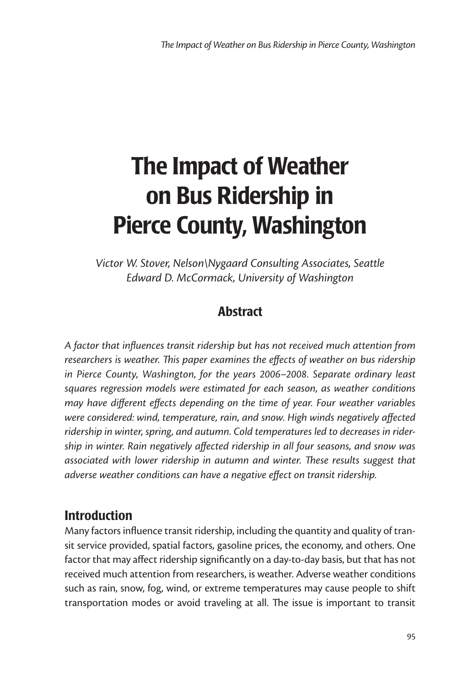# The Impact of Weather on Bus Ridership in Pierce County, Washington

*Victor W. Stover, Nelson\Nygaard Consulting Associates, Seattle Edward D. McCormack, University of Washington*

# **Abstract**

*A factor that influences transit ridership but has not received much attention from researchers is weather. This paper examines the effects of weather on bus ridership in Pierce County, Washington, for the years 2006–2008. Separate ordinary least squares regression models were estimated for each season, as weather conditions may have different effects depending on the time of year. Four weather variables were considered: wind, temperature, rain, and snow. High winds negatively affected ridership in winter, spring, and autumn. Cold temperatures led to decreases in ridership in winter. Rain negatively affected ridership in all four seasons, and snow was associated with lower ridership in autumn and winter. These results suggest that adverse weather conditions can have a negative effect on transit ridership.*

## Introduction

Many factors influence transit ridership, including the quantity and quality of transit service provided, spatial factors, gasoline prices, the economy, and others. One factor that may affect ridership significantly on a day-to-day basis, but that has not received much attention from researchers, is weather. Adverse weather conditions such as rain, snow, fog, wind, or extreme temperatures may cause people to shift transportation modes or avoid traveling at all. The issue is important to transit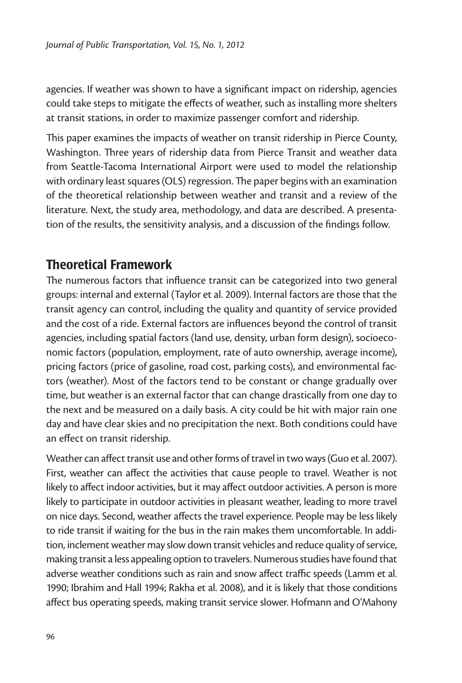agencies. If weather was shown to have a significant impact on ridership, agencies could take steps to mitigate the effects of weather, such as installing more shelters at transit stations, in order to maximize passenger comfort and ridership.

This paper examines the impacts of weather on transit ridership in Pierce County, Washington. Three years of ridership data from Pierce Transit and weather data from Seattle-Tacoma International Airport were used to model the relationship with ordinary least squares (OLS) regression. The paper begins with an examination of the theoretical relationship between weather and transit and a review of the literature. Next, the study area, methodology, and data are described. A presentation of the results, the sensitivity analysis, and a discussion of the findings follow.

#### Theoretical Framework

The numerous factors that influence transit can be categorized into two general groups: internal and external (Taylor et al. 2009). Internal factors are those that the transit agency can control, including the quality and quantity of service provided and the cost of a ride. External factors are influences beyond the control of transit agencies, including spatial factors (land use, density, urban form design), socioeconomic factors (population, employment, rate of auto ownership, average income), pricing factors (price of gasoline, road cost, parking costs), and environmental factors (weather). Most of the factors tend to be constant or change gradually over time, but weather is an external factor that can change drastically from one day to the next and be measured on a daily basis. A city could be hit with major rain one day and have clear skies and no precipitation the next. Both conditions could have an effect on transit ridership.

Weather can affect transit use and other forms of travel in two ways (Guo et al. 2007). First, weather can affect the activities that cause people to travel. Weather is not likely to affect indoor activities, but it may affect outdoor activities. A person is more likely to participate in outdoor activities in pleasant weather, leading to more travel on nice days. Second, weather affects the travel experience. People may be less likely to ride transit if waiting for the bus in the rain makes them uncomfortable. In addition, inclement weather may slow down transit vehicles and reduce quality of service, making transit a less appealing option to travelers. Numerous studies have found that adverse weather conditions such as rain and snow affect traffic speeds (Lamm et al. 1990; Ibrahim and Hall 1994; Rakha et al. 2008), and it is likely that those conditions affect bus operating speeds, making transit service slower. Hofmann and O'Mahony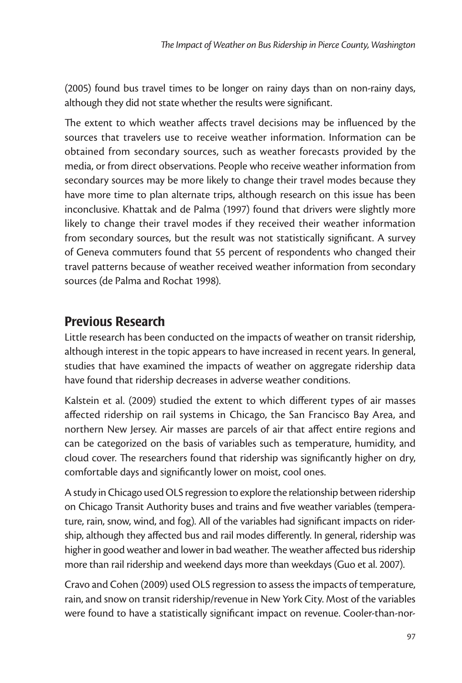(2005) found bus travel times to be longer on rainy days than on non-rainy days, although they did not state whether the results were significant.

The extent to which weather affects travel decisions may be influenced by the sources that travelers use to receive weather information. Information can be obtained from secondary sources, such as weather forecasts provided by the media, or from direct observations. People who receive weather information from secondary sources may be more likely to change their travel modes because they have more time to plan alternate trips, although research on this issue has been inconclusive. Khattak and de Palma (1997) found that drivers were slightly more likely to change their travel modes if they received their weather information from secondary sources, but the result was not statistically significant. A survey of Geneva commuters found that 55 percent of respondents who changed their travel patterns because of weather received weather information from secondary sources (de Palma and Rochat 1998).

# Previous Research

Little research has been conducted on the impacts of weather on transit ridership, although interest in the topic appears to have increased in recent years. In general, studies that have examined the impacts of weather on aggregate ridership data have found that ridership decreases in adverse weather conditions.

Kalstein et al. (2009) studied the extent to which different types of air masses affected ridership on rail systems in Chicago, the San Francisco Bay Area, and northern New Jersey. Air masses are parcels of air that affect entire regions and can be categorized on the basis of variables such as temperature, humidity, and cloud cover. The researchers found that ridership was significantly higher on dry, comfortable days and significantly lower on moist, cool ones.

A study in Chicago used OLS regression to explore the relationship between ridership on Chicago Transit Authority buses and trains and five weather variables (temperature, rain, snow, wind, and fog). All of the variables had significant impacts on ridership, although they affected bus and rail modes differently. In general, ridership was higher in good weather and lower in bad weather. The weather affected bus ridership more than rail ridership and weekend days more than weekdays (Guo et al. 2007).

Cravo and Cohen (2009) used OLS regression to assess the impacts of temperature, rain, and snow on transit ridership/revenue in New York City. Most of the variables were found to have a statistically significant impact on revenue. Cooler-than-nor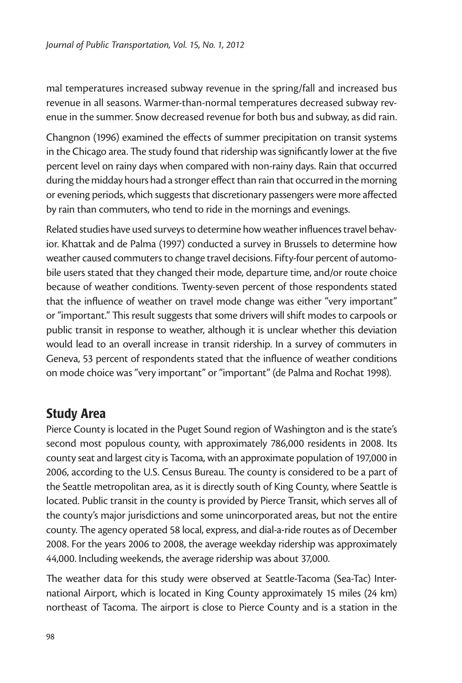mal temperatures increased subway revenue in the spring/fall and increased bus revenue in all seasons. Warmer-than-normal temperatures decreased subway revenue in the summer. Snow decreased revenue for both bus and subway, as did rain.

Changnon (1996) examined the effects of summer precipitation on transit systems in the Chicago area. The study found that ridership was significantly lower at the five percent level on rainy days when compared with non-rainy days. Rain that occurred during the midday hours had a stronger effect than rain that occurred in the morning or evening periods, which suggests that discretionary passengers were more affected by rain than commuters, who tend to ride in the mornings and evenings.

Related studies have used surveys to determine how weather influences travel behavior. Khattak and de Palma (1997) conducted a survey in Brussels to determine how weather caused commuters to change travel decisions. Fifty-four percent of automobile users stated that they changed their mode, departure time, and/or route choice because of weather conditions. Twenty-seven percent of those respondents stated that the influence of weather on travel mode change was either "very important" or "important." This result suggests that some drivers will shift modes to carpools or public transit in response to weather, although it is unclear whether this deviation would lead to an overall increase in transit ridership. In a survey of commuters in Geneva, 53 percent of respondents stated that the influence of weather conditions on mode choice was "very important" or "important" (de Palma and Rochat 1998).

#### Study Area

Pierce County is located in the Puget Sound region of Washington and is the state's second most populous county, with approximately 786,000 residents in 2008. Its county seat and largest city is Tacoma, with an approximate population of 197,000 in 2006, according to the U.S. Census Bureau. The county is considered to be a part of the Seattle metropolitan area, as it is directly south of King County, where Seattle is located. Public transit in the county is provided by Pierce Transit, which serves all of the county's major jurisdictions and some unincorporated areas, but not the entire county. The agency operated 58 local, express, and dial-a-ride routes as of December 2008. For the years 2006 to 2008, the average weekday ridership was approximately 44,000. Including weekends, the average ridership was about 37,000.

The weather data for this study were observed at Seattle-Tacoma (Sea-Tac) International Airport, which is located in King County approximately 15 miles (24 km) northeast of Tacoma. The airport is close to Pierce County and is a station in the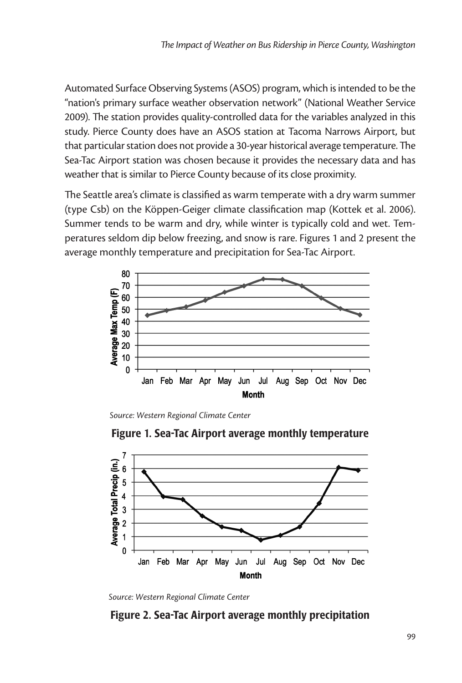Automated Surface Observing Systems (ASOS) program, which is intended to be the "nation's primary surface weather observation network" (National Weather Service 2009). The station provides quality-controlled data for the variables analyzed in this study. Pierce County does have an ASOS station at Tacoma Narrows Airport, but that particular station does not provide a 30-year historical average temperature. The Sea-Tac Airport station was chosen because it provides the necessary data and has weather that is similar to Pierce County because of its close proximity.

The Seattle area's climate is classified as warm temperate with a dry warm summer (type Csb) on the Köppen-Geiger climate classification map (Kottek et al. 2006). Summer tends to be warm and dry, while winter is typically cold and wet. Temperatures seldom dip below freezing, and snow is rare. Figures 1 and 2 present the average monthly temperature and precipitation for Sea-Tac Airport.



*Source: Western Regional Climate Center*





#### Figure 2. Sea-Tac Airport average monthly precipitation

*Source: Western Regional Climate Center*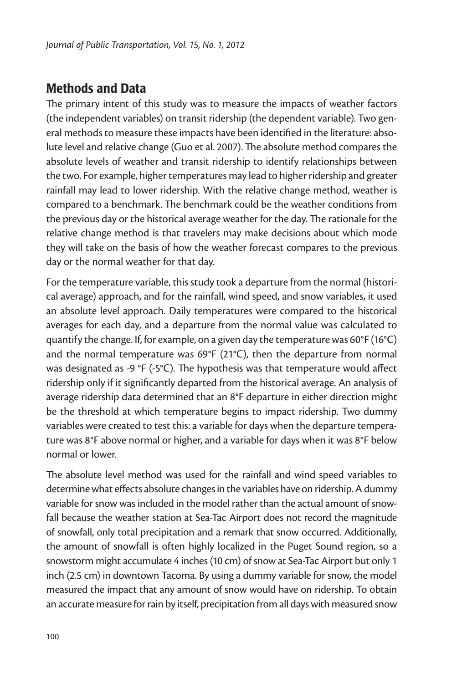## Methods and Data

The primary intent of this study was to measure the impacts of weather factors (the independent variables) on transit ridership (the dependent variable). Two general methods to measure these impacts have been identified in the literature: absolute level and relative change (Guo et al. 2007). The absolute method compares the absolute levels of weather and transit ridership to identify relationships between the two. For example, higher temperatures may lead to higher ridership and greater rainfall may lead to lower ridership. With the relative change method, weather is compared to a benchmark. The benchmark could be the weather conditions from the previous day or the historical average weather for the day. The rationale for the relative change method is that travelers may make decisions about which mode they will take on the basis of how the weather forecast compares to the previous day or the normal weather for that day.

For the temperature variable, this study took a departure from the normal (historical average) approach, and for the rainfall, wind speed, and snow variables, it used an absolute level approach. Daily temperatures were compared to the historical averages for each day, and a departure from the normal value was calculated to quantify the change. If, for example, on a given day the temperature was 60°F (16°C) and the normal temperature was 69°F (21°C), then the departure from normal was designated as -9 °F (-5°C). The hypothesis was that temperature would affect ridership only if it significantly departed from the historical average. An analysis of average ridership data determined that an 8°F departure in either direction might be the threshold at which temperature begins to impact ridership. Two dummy variables were created to test this: a variable for days when the departure temperature was 8°F above normal or higher, and a variable for days when it was 8°F below normal or lower.

The absolute level method was used for the rainfall and wind speed variables to determine what effects absolute changes in the variables have on ridership. A dummy variable for snow was included in the model rather than the actual amount of snowfall because the weather station at Sea-Tac Airport does not record the magnitude of snowfall, only total precipitation and a remark that snow occurred. Additionally, the amount of snowfall is often highly localized in the Puget Sound region, so a snowstorm might accumulate 4 inches (10 cm) of snow at Sea-Tac Airport but only 1 inch (2.5 cm) in downtown Tacoma. By using a dummy variable for snow, the model measured the impact that any amount of snow would have on ridership. To obtain an accurate measure for rain by itself, precipitation from all days with measured snow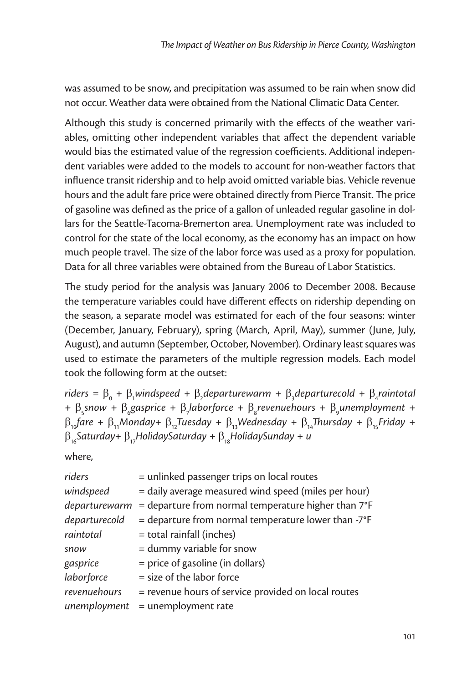was assumed to be snow, and precipitation was assumed to be rain when snow did not occur. Weather data were obtained from the National Climatic Data Center.

Although this study is concerned primarily with the effects of the weather variables, omitting other independent variables that affect the dependent variable would bias the estimated value of the regression coefficients. Additional independent variables were added to the models to account for non-weather factors that influence transit ridership and to help avoid omitted variable bias. Vehicle revenue hours and the adult fare price were obtained directly from Pierce Transit. The price of gasoline was defined as the price of a gallon of unleaded regular gasoline in dollars for the Seattle-Tacoma-Bremerton area. Unemployment rate was included to control for the state of the local economy, as the economy has an impact on how much people travel. The size of the labor force was used as a proxy for population. Data for all three variables were obtained from the Bureau of Labor Statistics.

The study period for the analysis was January 2006 to December 2008. Because the temperature variables could have different effects on ridership depending on the season, a separate model was estimated for each of the four seasons: winter (December, January, February), spring (March, April, May), summer (June, July, August), and autumn (September, October, November). Ordinary least squares was used to estimate the parameters of the multiple regression models. Each model took the following form at the outset:

 $r$ *iders* =  $\beta_0$  +  $\beta_1$ windspeed +  $\beta_2$ departurewarm +  $\beta_3$ departurecold +  $\beta_4$ raintotal +  $\beta$ <sub>5</sub> snow +  $\beta$ <sub>6</sub> gasprice +  $\beta$ <sub>7</sub> laborforce +  $\beta$ <sub>8</sub> revenuehours +  $\beta$ <sub>9</sub> unemployment +  $\beta_{10}$ fare +  $\beta_{11}$ Monday+  $\beta_{12}$ Tuesday +  $\beta_{13}$ Wednesday +  $\beta_{14}$ Thursday +  $\beta_{15}$ Friday + β16*Saturday+* β17*HolidaySaturday +* β18*HolidaySunday + u*

where,

| riders        | = unlinked passenger trips on local routes                      |
|---------------|-----------------------------------------------------------------|
|               |                                                                 |
| windspeed     | = daily average measured wind speed (miles per hour)            |
| departurewarm | $=$ departure from normal temperature higher than $7^{\circ}$ F |
| departurecold | = departure from normal temperature lower than $-7^{\circ}F$    |
| raintotal     | = total rainfall (inches)                                       |
| snow          | = dummy variable for snow                                       |
| gasprice      | = price of gasoline (in dollars)                                |
| laborforce    | $=$ size of the labor force                                     |
| revenuehours  | = revenue hours of service provided on local routes             |
| unemployment  | $=$ unemployment rate                                           |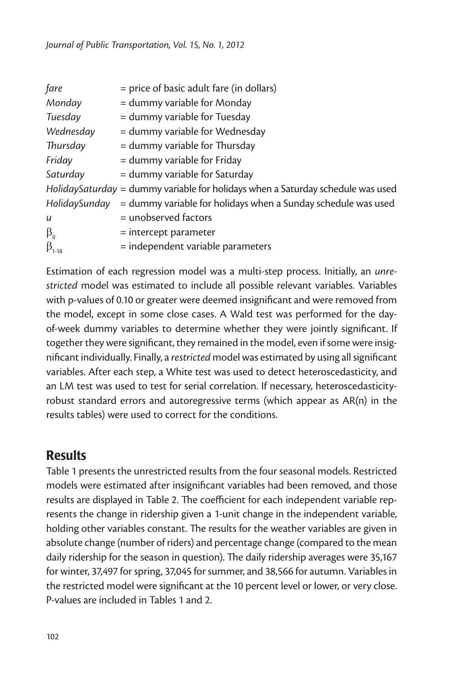| fare             | = price of basic adult fare (in dollars)                                        |
|------------------|---------------------------------------------------------------------------------|
| Monday           | = dummy variable for Monday                                                     |
| Tuesday          | = dummy variable for Tuesday                                                    |
| Wednesday        | = dummy variable for Wednesday                                                  |
| Thursday         | = dummy variable for Thursday                                                   |
| Friday           | = dummy variable for Friday                                                     |
| Saturday         | = dummy variable for Saturday                                                   |
|                  | HolidaySaturday = dummy variable for holidays when a Saturday schedule was used |
| HolidaySunday    | = dummy variable for holidays when a Sunday schedule was used                   |
| $\boldsymbol{u}$ | = unobserved factors                                                            |
| $\beta_{0}$      | $=$ intercept parameter                                                         |
| $\beta_{1-18}$   | = independent variable parameters                                               |

Estimation of each regression model was a multi-step process. Initially, an *unrestricted* model was estimated to include all possible relevant variables. Variables with p-values of 0.10 or greater were deemed insignificant and were removed from the model, except in some close cases. A Wald test was performed for the dayof-week dummy variables to determine whether they were jointly significant. If together they were significant, they remained in the model, even if some were insignificant individually. Finally, a *restricted* model was estimated by using all significant variables. After each step, a White test was used to detect heteroscedasticity, and an LM test was used to test for serial correlation. If necessary, heteroscedasticityrobust standard errors and autoregressive terms (which appear as AR(n) in the results tables) were used to correct for the conditions.

## **Results**

Table 1 presents the unrestricted results from the four seasonal models. Restricted models were estimated after insignificant variables had been removed, and those results are displayed in Table 2. The coefficient for each independent variable represents the change in ridership given a 1-unit change in the independent variable, holding other variables constant. The results for the weather variables are given in absolute change (number of riders) and percentage change (compared to the mean daily ridership for the season in question). The daily ridership averages were 35,167 for winter, 37,497 for spring, 37,045 for summer, and 38,566 for autumn. Variables in the restricted model were significant at the 10 percent level or lower, or very close. P-values are included in Tables 1 and 2.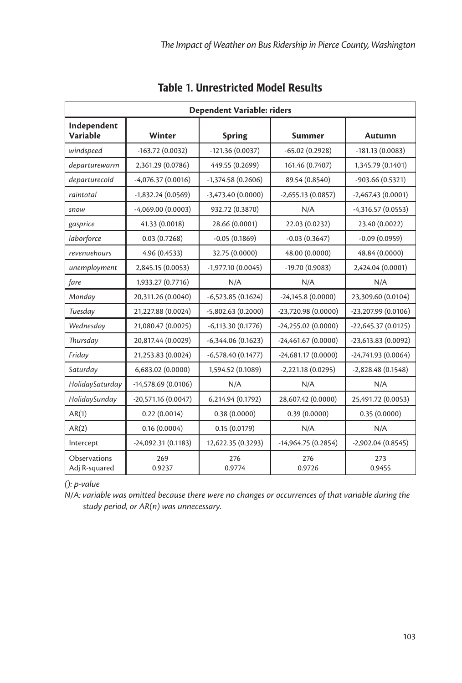| Dependent Variable: riders    |                     |                     |                      |                      |
|-------------------------------|---------------------|---------------------|----------------------|----------------------|
| Independent<br>Variable       | Winter              | <b>Spring</b>       | Summer               | Autumn               |
| windspeed                     | $-163.72(0.0032)$   | $-121.36(0.0037)$   | $-65.02(0.2928)$     | $-181.13(0.0083)$    |
| departurewarm                 | 2,361.29 (0.0786)   | 449.55 (0.2699)     | 161.46 (0.7407)      | 1,345.79 (0.1401)    |
| departurecold                 | $-4,076.37(0.0016)$ | $-1,374.58(0.2606)$ | 89.54 (0.8540)       | -903.66 (0.5321)     |
| raintotal                     | $-1,832.24(0.0569)$ | $-3,473.40(0.0000)$ | $-2,655.13(0.0857)$  | $-2,467.43(0.0001)$  |
| snow                          | $-4,069.00(0.0003)$ | 932.72 (0.3870)     | N/A                  | $-4,316.57(0.0553)$  |
| gasprice                      | 41.33 (0.0018)      | 28.66 (0.0001)      | 22.03 (0.0232)       | 23.40 (0.0022)       |
| laborforce                    | 0.03(0.7268)        | $-0.05(0.1869)$     | $-0.03(0.3647)$      | $-0.09(0.0959)$      |
| revenuehours                  | 4.96 (0.4533)       | 32.75 (0.0000)      | 48.00 (0.0000)       | 48.84 (0.0000)       |
| unemployment                  | 2,845.15 (0.0053)   | -1,977.10 (0.0045)  | -19.70 (0.9083)      | 2,424.04 (0.0001)    |
| fare                          | 1,933.27 (0.7716)   | N/A                 | N/A                  | N/A                  |
| Monday                        | 20,311.26 (0.0040)  | $-6,523.85(0.1624)$ | $-24,145.8(0.0000)$  | 23,309.60 (0.0104)   |
| Tuesday                       | 21,227.88 (0.0024)  | $-5,802.63(0.2000)$ | -23,720.98 (0.0000)  | -23,207.99 (0.0106)  |
| Wednesday                     | 21,080.47 (0.0025)  | $-6,113.30(0.1776)$ | $-24,255.02(0.0000)$ | $-22,645.37(0.0125)$ |
| Thursday                      | 20,817.44 (0.0029)  | $-6,344.06(0.1623)$ | $-24,461.67(0.0000)$ | -23,613.83 (0.0092)  |
| Friday                        | 21,253.83 (0.0024)  | $-6,578.40(0.1477)$ | $-24,681.17(0.0000)$ | $-24,741.93(0.0064)$ |
| Saturday                      | 6,683.02 (0.0000)   | 1,594.52 (0.1089)   | $-2,221.18(0.0295)$  | $-2,828.48(0.1548)$  |
| HolidaySaturday               | -14,578.69 (0.0106) | N/A                 | N/A                  | N/A                  |
| HolidaySunday                 | -20,571.16 (0.0047) | 6,214.94 (0.1792)   | 28,607.42 (0.0000)   | 25,491.72 (0.0053)   |
| AR(1)                         | 0.22(0.0014)        | 0.38(0.0000)        | 0.39(0.0000)         | 0.35(0.0000)         |
| AR(2)                         | 0.16(0.0004)        | 0.15(0.0179)        | N/A                  | N/A                  |
| Intercept                     | -24,092.31 (0.1183) | 12,622.35 (0.3293)  | $-14,964.75(0.2854)$ | $-2,902.04(0.8545)$  |
| Observations<br>Adj R-squared | 269<br>0.9237       | 276<br>0.9774       | 276<br>0.9726        | 273<br>0.9455        |

#### Table 1. Unrestricted Model Results

*(): p-value*

*N/A: variable was omitted because there were no changes or occurrences of that variable during the study period, or AR(n) was unnecessary.*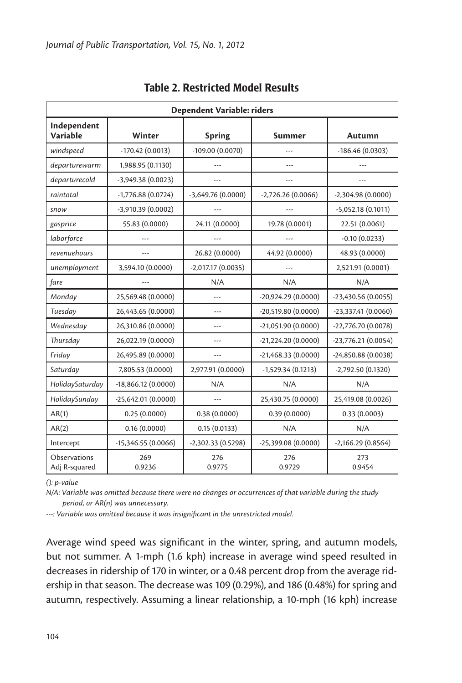| Dependent Variable: riders     |                      |                     |                      |                      |
|--------------------------------|----------------------|---------------------|----------------------|----------------------|
| Independent<br><b>Variable</b> | Winter               | <b>Spring</b>       | Summer               | Autumn               |
| windspeed                      | $-170.42(0.0013)$    | -109.00 (0.0070)    | ---                  | $-186.46(0.0303)$    |
| departurewarm                  | 1,988.95 (0.1130)    | ---                 | ---                  | ---                  |
| departurecold                  | -3,949.38 (0.0023)   | ---                 |                      |                      |
| raintotal                      | $-1,776.88(0.0724)$  | $-3,649.76(0.0000)$ | $-2,726.26(0.0066)$  | $-2,304.98(0.0000)$  |
| snow                           | $-3,910.39(0.0002)$  |                     |                      | $-5,052.18(0.1011)$  |
| gasprice                       | 55.83 (0.0000)       | 24.11 (0.0000)      | 19.78 (0.0001)       | 22.51 (0.0061)       |
| laborforce                     | ---                  | ---                 | ---                  | $-0.10(0.0233)$      |
| revenuehours                   | ---                  | 26.82 (0.0000)      | 44.92 (0.0000)       | 48.93 (0.0000)       |
| unemployment                   | 3,594.10 (0.0000)    | $-2,017.17(0.0035)$ | ---                  | 2,521.91 (0.0001)    |
| fare                           | ---                  | N/A                 | N/A                  | N/A                  |
| Monday                         | 25,569.48 (0.0000)   |                     | -20,924.29 (0.0000)  | $-23,430.56(0.0055)$ |
| Tuesday                        | 26,443.65 (0.0000)   |                     | $-20,519.80(0.0000)$ | $-23,337.41(0.0060)$ |
| Wednesday                      | 26,310.86 (0.0000)   | ---                 | $-21,051.90(0.0000)$ | -22,776.70 (0.0078)  |
| Thursday                       | 26,022.19 (0.0000)   | ---                 | -21,224.20 (0.0000)  | $-23,776.21(0.0054)$ |
| Friday                         | 26,495.89 (0.0000)   | ---                 | $-21,468.33(0.0000)$ | $-24,850.88(0.0038)$ |
| Saturday                       | 7,805.53 (0.0000)    | 2,977.91 (0.0000)   | $-1,529.34(0.1213)$  | -2,792.50 (0.1320)   |
| HolidaySaturday                | $-18,866.12(0.0000)$ | N/A                 | N/A                  | N/A                  |
| HolidaySunday                  | $-25,642.01(0.0000)$ |                     | 25,430.75 (0.0000)   | 25,419.08 (0.0026)   |
| AR(1)                          | 0.25(0.0000)         | 0.38(0.0000)        | 0.39(0.0000)         | 0.33(0.0003)         |
| AR(2)                          | 0.16(0.0000)         | 0.15(0.0133)        | N/A                  | N/A                  |
| Intercept                      | $-15,346.55(0.0066)$ | -2,302.33 (0.5298)  | -25,399.08 (0.0000)  | $-2,166.29(0.8564)$  |
| Observations<br>Adj R-squared  | 269<br>0.9236        | 276<br>0.9775       | 276<br>0.9729        | 273<br>0.9454        |

#### Table 2. Restricted Model Results

*(): p-value*

*N/A: Variable was omitted because there were no changes or occurrences of that variable during the study period, or AR(n) was unnecessary.*

*---: Variable was omitted because it was insignificant in the unrestricted model.*

Average wind speed was significant in the winter, spring, and autumn models, but not summer. A 1-mph (1.6 kph) increase in average wind speed resulted in decreases in ridership of 170 in winter, or a 0.48 percent drop from the average ridership in that season. The decrease was 109 (0.29%), and 186 (0.48%) for spring and autumn, respectively. Assuming a linear relationship, a 10-mph (16 kph) increase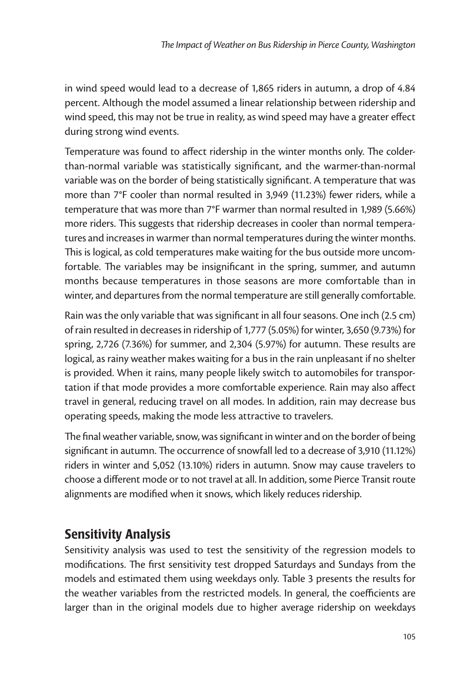in wind speed would lead to a decrease of 1,865 riders in autumn, a drop of 4.84 percent. Although the model assumed a linear relationship between ridership and wind speed, this may not be true in reality, as wind speed may have a greater effect during strong wind events.

Temperature was found to affect ridership in the winter months only. The colderthan-normal variable was statistically significant, and the warmer-than-normal variable was on the border of being statistically significant. A temperature that was more than 7°F cooler than normal resulted in 3,949 (11.23%) fewer riders, while a temperature that was more than 7°F warmer than normal resulted in 1,989 (5.66%) more riders. This suggests that ridership decreases in cooler than normal temperatures and increases in warmer than normal temperatures during the winter months. This is logical, as cold temperatures make waiting for the bus outside more uncomfortable. The variables may be insignificant in the spring, summer, and autumn months because temperatures in those seasons are more comfortable than in winter, and departures from the normal temperature are still generally comfortable.

Rain was the only variable that was significant in all four seasons. One inch (2.5 cm) of rain resulted in decreases in ridership of 1,777 (5.05%) for winter, 3,650 (9.73%) for spring, 2,726 (7.36%) for summer, and 2,304 (5.97%) for autumn. These results are logical, as rainy weather makes waiting for a bus in the rain unpleasant if no shelter is provided. When it rains, many people likely switch to automobiles for transportation if that mode provides a more comfortable experience. Rain may also affect travel in general, reducing travel on all modes. In addition, rain may decrease bus operating speeds, making the mode less attractive to travelers.

The final weather variable, snow, was significant in winter and on the border of being significant in autumn. The occurrence of snowfall led to a decrease of 3,910 (11.12%) riders in winter and 5,052 (13.10%) riders in autumn. Snow may cause travelers to choose a different mode or to not travel at all. In addition, some Pierce Transit route alignments are modified when it snows, which likely reduces ridership.

## Sensitivity Analysis

Sensitivity analysis was used to test the sensitivity of the regression models to modifications. The first sensitivity test dropped Saturdays and Sundays from the models and estimated them using weekdays only. Table 3 presents the results for the weather variables from the restricted models. In general, the coefficients are larger than in the original models due to higher average ridership on weekdays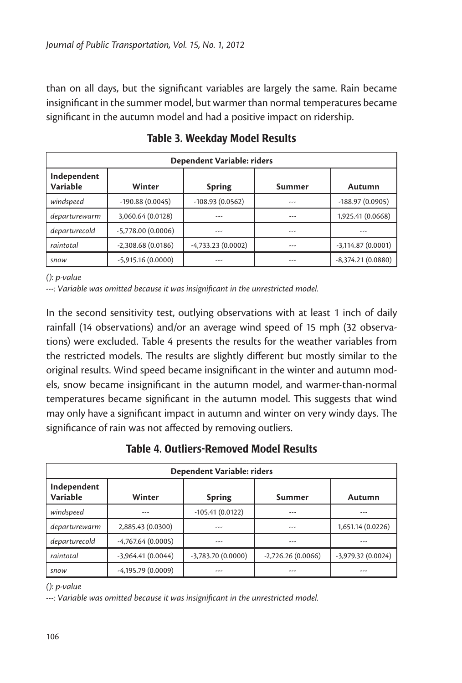than on all days, but the significant variables are largely the same. Rain became insignificant in the summer model, but warmer than normal temperatures became significant in the autumn model and had a positive impact on ridership.

| Dependent Variable: riders |                     |                     |        |                     |
|----------------------------|---------------------|---------------------|--------|---------------------|
| Independent<br>Variable    | Winter              | <b>Spring</b>       | Summer | Autumn              |
| windspeed                  | $-190.88(0.0045)$   | $-108.93(0.0562)$   | ---    | $-188.97(0.0905)$   |
| departurewarm              | 3,060.64 (0.0128)   | ---                 | ---    | 1,925.41 (0.0668)   |
| departurecold              | $-5,778.00(0.0006)$ | ---                 | ---    | ---                 |
| raintotal                  | $-2,308.68(0.0186)$ | $-4,733.23(0.0002)$ | ---    | $-3,114.87(0.0001)$ |
| snow                       | $-5,915.16(0.0000)$ | ---                 | ---    | $-8,374.21(0.0880)$ |

Table 3. Weekday Model Results

*(): p-value*

*---: Variable was omitted because it was insignificant in the unrestricted model.*

In the second sensitivity test, outlying observations with at least 1 inch of daily rainfall (14 observations) and/or an average wind speed of 15 mph (32 observations) were excluded. Table 4 presents the results for the weather variables from the restricted models. The results are slightly different but mostly similar to the original results. Wind speed became insignificant in the winter and autumn models, snow became insignificant in the autumn model, and warmer-than-normal temperatures became significant in the autumn model. This suggests that wind may only have a significant impact in autumn and winter on very windy days. The significance of rain was not affected by removing outliers.

Table 4. Outliers-Removed Model Results

| Dependent Variable: riders |                     |                     |                     |                     |
|----------------------------|---------------------|---------------------|---------------------|---------------------|
| Independent<br>Variable    | Winter              | <b>Spring</b>       | Summer              | Autumn              |
| windspeed                  | ---                 | $-105.41(0.0122)$   | ---                 | ---                 |
| departurewarm              | 2,885.43 (0.0300)   | ---                 | ---                 | 1,651.14 (0.0226)   |
| departurecold              | $-4,767.64(0.0005)$ | ---                 | ---                 | ---                 |
| raintotal                  | $-3,964.41(0.0044)$ | $-3,783.70(0.0000)$ | $-2,726.26(0.0066)$ | $-3,979.32(0.0024)$ |
| snow                       | $-4,195.79(0.0009)$ |                     | ---                 | ---                 |

*(): p-value*

*---: Variable was omitted because it was insignificant in the unrestricted model.*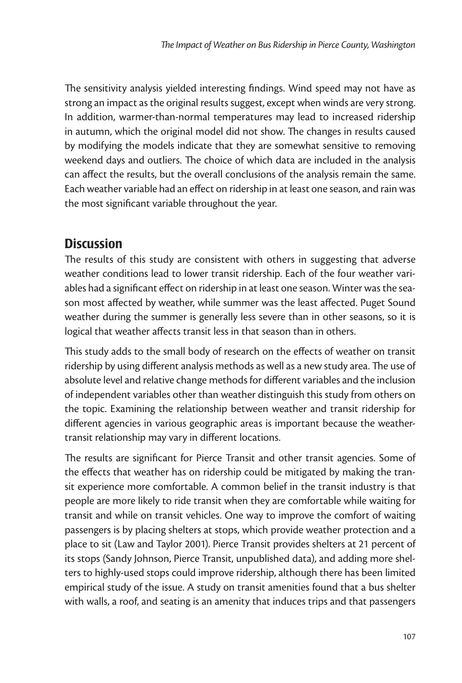The sensitivity analysis yielded interesting findings. Wind speed may not have as strong an impact as the original results suggest, except when winds are very strong. In addition, warmer-than-normal temperatures may lead to increased ridership in autumn, which the original model did not show. The changes in results caused by modifying the models indicate that they are somewhat sensitive to removing weekend days and outliers. The choice of which data are included in the analysis can affect the results, but the overall conclusions of the analysis remain the same. Each weather variable had an effect on ridership in at least one season, and rain was the most significant variable throughout the year.

## **Discussion**

The results of this study are consistent with others in suggesting that adverse weather conditions lead to lower transit ridership. Each of the four weather variables had a significant effect on ridership in at least one season. Winter was the season most affected by weather, while summer was the least affected. Puget Sound weather during the summer is generally less severe than in other seasons, so it is logical that weather affects transit less in that season than in others.

This study adds to the small body of research on the effects of weather on transit ridership by using different analysis methods as well as a new study area. The use of absolute level and relative change methods for different variables and the inclusion of independent variables other than weather distinguish this study from others on the topic. Examining the relationship between weather and transit ridership for different agencies in various geographic areas is important because the weathertransit relationship may vary in different locations.

The results are significant for Pierce Transit and other transit agencies. Some of the effects that weather has on ridership could be mitigated by making the transit experience more comfortable. A common belief in the transit industry is that people are more likely to ride transit when they are comfortable while waiting for transit and while on transit vehicles. One way to improve the comfort of waiting passengers is by placing shelters at stops, which provide weather protection and a place to sit (Law and Taylor 2001). Pierce Transit provides shelters at 21 percent of its stops (Sandy Johnson, Pierce Transit, unpublished data), and adding more shelters to highly-used stops could improve ridership, although there has been limited empirical study of the issue. A study on transit amenities found that a bus shelter with walls, a roof, and seating is an amenity that induces trips and that passengers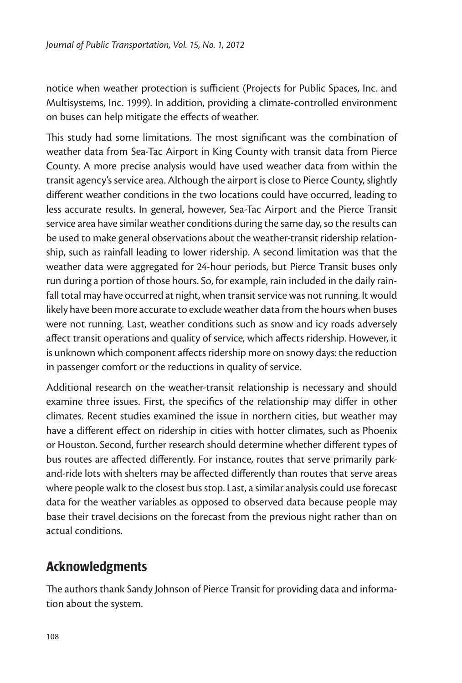notice when weather protection is sufficient (Projects for Public Spaces, Inc. and Multisystems, Inc. 1999). In addition, providing a climate-controlled environment on buses can help mitigate the effects of weather.

This study had some limitations. The most significant was the combination of weather data from Sea-Tac Airport in King County with transit data from Pierce County. A more precise analysis would have used weather data from within the transit agency's service area. Although the airport is close to Pierce County, slightly different weather conditions in the two locations could have occurred, leading to less accurate results. In general, however, Sea-Tac Airport and the Pierce Transit service area have similar weather conditions during the same day, so the results can be used to make general observations about the weather-transit ridership relationship, such as rainfall leading to lower ridership. A second limitation was that the weather data were aggregated for 24-hour periods, but Pierce Transit buses only run during a portion of those hours. So, for example, rain included in the daily rainfall total may have occurred at night, when transit service was not running. It would likely have been more accurate to exclude weather data from the hours when buses were not running. Last, weather conditions such as snow and icy roads adversely affect transit operations and quality of service, which affects ridership. However, it is unknown which component affects ridership more on snowy days: the reduction in passenger comfort or the reductions in quality of service.

Additional research on the weather-transit relationship is necessary and should examine three issues. First, the specifics of the relationship may differ in other climates. Recent studies examined the issue in northern cities, but weather may have a different effect on ridership in cities with hotter climates, such as Phoenix or Houston. Second, further research should determine whether different types of bus routes are affected differently. For instance, routes that serve primarily parkand-ride lots with shelters may be affected differently than routes that serve areas where people walk to the closest bus stop. Last, a similar analysis could use forecast data for the weather variables as opposed to observed data because people may base their travel decisions on the forecast from the previous night rather than on actual conditions.

## Acknowledgments

The authors thank Sandy Johnson of Pierce Transit for providing data and information about the system.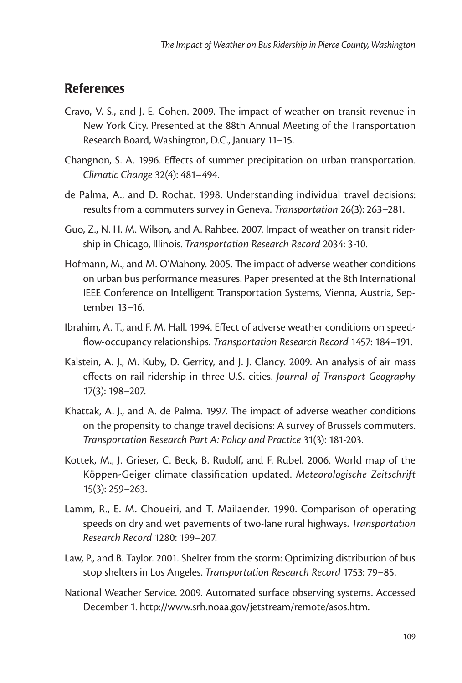#### **References**

- Cravo, V. S., and J. E. Cohen. 2009. The impact of weather on transit revenue in New York City. Presented at the 88th Annual Meeting of the Transportation Research Board, Washington, D.C., January 11–15.
- Changnon, S. A. 1996. Effects of summer precipitation on urban transportation. *Climatic Change* 32(4): 481–494.
- de Palma, A., and D. Rochat. 1998. Understanding individual travel decisions: results from a commuters survey in Geneva. *Transportation* 26(3): 263–281.
- Guo, Z., N. H. M. Wilson, and A. Rahbee. 2007. Impact of weather on transit ridership in Chicago, Illinois. *Transportation Research Record* 2034: 3-10.
- Hofmann, M., and M. O'Mahony. 2005. The impact of adverse weather conditions on urban bus performance measures. Paper presented at the 8th International IEEE Conference on Intelligent Transportation Systems, Vienna, Austria, September 13–16.
- Ibrahim, A. T., and F. M. Hall. 1994. Effect of adverse weather conditions on speedflow-occupancy relationships. *Transportation Research Record* 1457: 184–191.
- Kalstein, A. J., M. Kuby, D. Gerrity, and J. J. Clancy. 2009. An analysis of air mass effects on rail ridership in three U.S. cities. *Journal of Transport Geography*  17(3): 198–207.
- Khattak, A. J., and A. de Palma. 1997. The impact of adverse weather conditions on the propensity to change travel decisions: A survey of Brussels commuters. *Transportation Research Part A: Policy and Practice* 31(3): 181-203.
- Kottek, M., J. Grieser, C. Beck, B. Rudolf, and F. Rubel. 2006. World map of the Köppen-Geiger climate classification updated. *Meteorologische Zeitschrift* 15(3): 259–263.
- Lamm, R., E. M. Choueiri, and T. Mailaender. 1990. Comparison of operating speeds on dry and wet pavements of two-lane rural highways. *Transportation Research Record* 1280: 199–207.
- Law, P., and B. Taylor. 2001. Shelter from the storm: Optimizing distribution of bus stop shelters in Los Angeles. *Transportation Research Record* 1753: 79–85.
- National Weather Service. 2009. Automated surface observing systems. Accessed December 1. http://www.srh.noaa.gov/jetstream/remote/asos.htm.